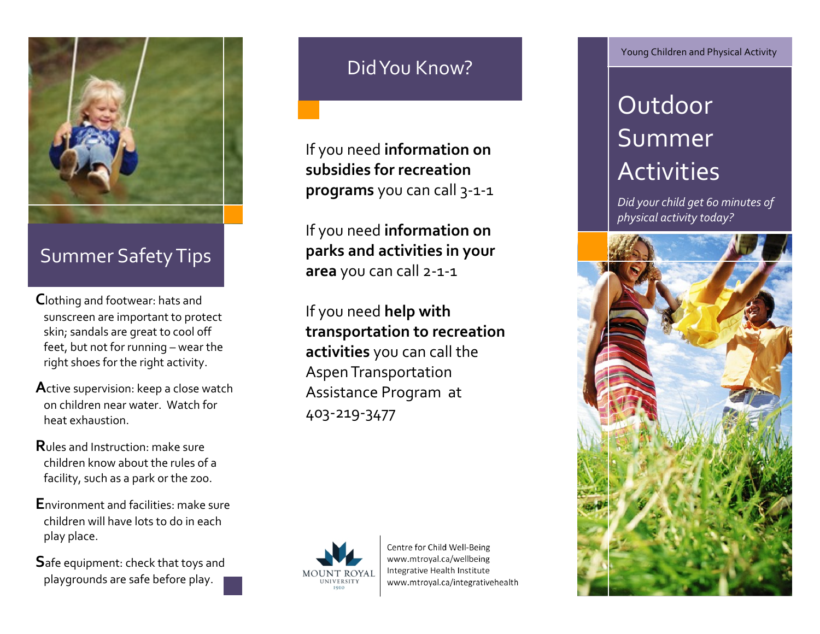

### Summer Safety Tips

- **C**lothing and footwear: hats and sunscreen are important to protect skin; sandals are great to cool off feet, but not for running – wear the right shoes for the right activity.
- **A**ctive supervision: keep a close watch on children near water. Watch for heat exhaustion.
- **R**ules and Instruction: make sure children know about the rules of a facility, such as a park or the zoo.
- **E**nvironment and facilities: make sure children will have lots to do in each play place.
- **S**afe equipment: check that toys and playgrounds are safe before play.

## Did You Know?

If you need **information on subsidies for recreation programs** you can call 3-1-1

If you need **information on parks and activities in your area** you can call 2-1-1

If you need **help with transportation to recreation activities** you can call the Aspen Transportation Assistance Program at 403-219-3477



Centre for Child Well-Being www.mtroyal.ca/wellbeing Integrative Health Institute www.mtroyal.ca/integrativehealth Young Children and Physical Activity

# Outdoor Summer **Activities**

*Did your child get 60 minutes of physical activity today?*